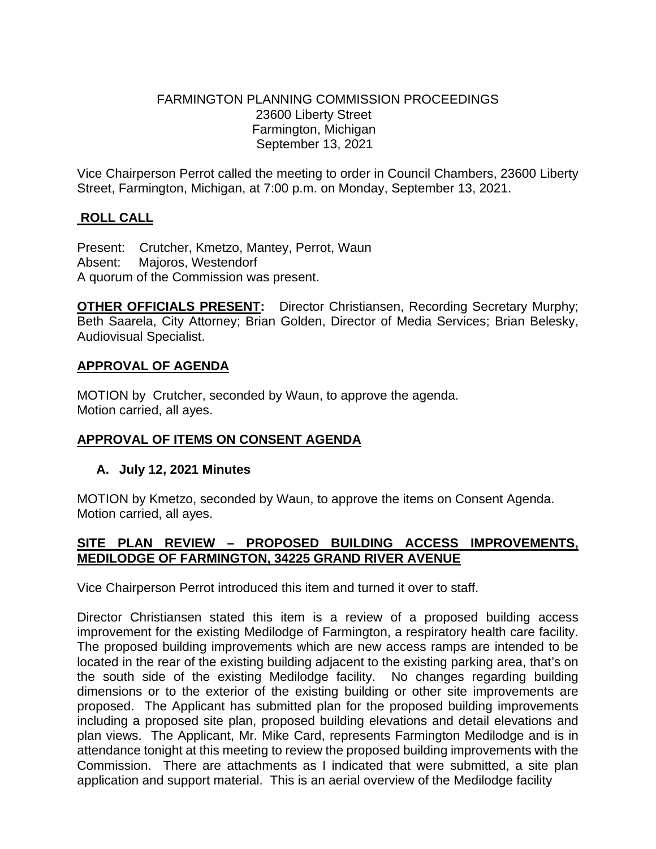### FARMINGTON PLANNING COMMISSION PROCEEDINGS 23600 Liberty Street Farmington, Michigan September 13, 2021

Vice Chairperson Perrot called the meeting to order in Council Chambers, 23600 Liberty Street, Farmington, Michigan, at 7:00 p.m. on Monday, September 13, 2021.

# **ROLL CALL**

Present: Crutcher, Kmetzo, Mantey, Perrot, Waun Absent: Majoros, Westendorf A quorum of the Commission was present.

**OTHER OFFICIALS PRESENT:** Director Christiansen, Recording Secretary Murphy; Beth Saarela, City Attorney; Brian Golden, Director of Media Services; Brian Belesky, Audiovisual Specialist.

# **APPROVAL OF AGENDA**

MOTION by Crutcher, seconded by Waun, to approve the agenda. Motion carried, all ayes.

# **APPROVAL OF ITEMS ON CONSENT AGENDA**

# **A. July 12, 2021 Minutes**

MOTION by Kmetzo, seconded by Waun, to approve the items on Consent Agenda. Motion carried, all ayes.

# **SITE PLAN REVIEW – PROPOSED BUILDING ACCESS IMPROVEMENTS, MEDILODGE OF FARMINGTON, 34225 GRAND RIVER AVENUE**

Vice Chairperson Perrot introduced this item and turned it over to staff.

Director Christiansen stated this item is a review of a proposed building access improvement for the existing Medilodge of Farmington, a respiratory health care facility. The proposed building improvements which are new access ramps are intended to be located in the rear of the existing building adjacent to the existing parking area, that's on the south side of the existing Medilodge facility. No changes regarding building dimensions or to the exterior of the existing building or other site improvements are proposed. The Applicant has submitted plan for the proposed building improvements including a proposed site plan, proposed building elevations and detail elevations and plan views. The Applicant, Mr. Mike Card, represents Farmington Medilodge and is in attendance tonight at this meeting to review the proposed building improvements with the Commission. There are attachments as I indicated that were submitted, a site plan application and support material. This is an aerial overview of the Medilodge facility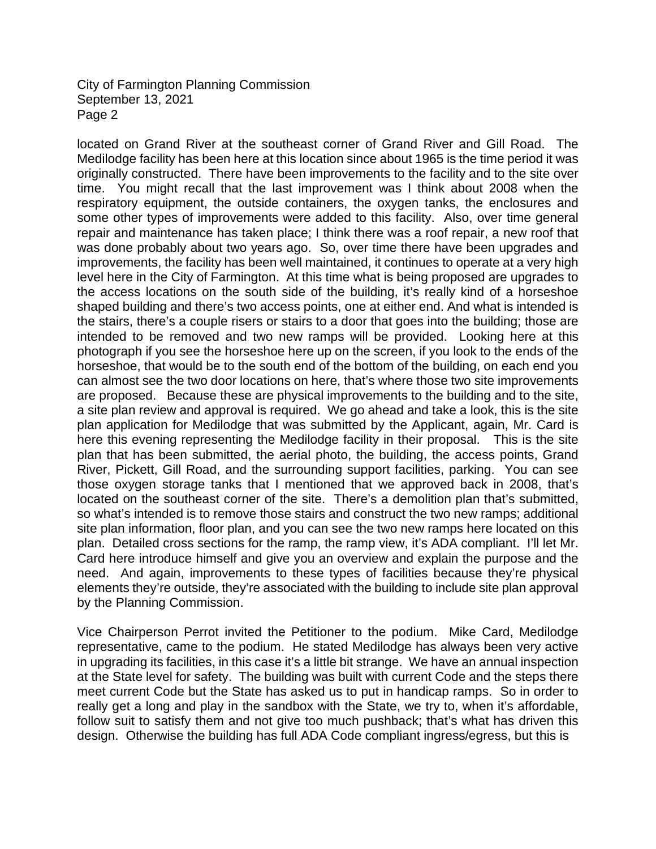located on Grand River at the southeast corner of Grand River and Gill Road. The Medilodge facility has been here at this location since about 1965 is the time period it was originally constructed. There have been improvements to the facility and to the site over time. You might recall that the last improvement was I think about 2008 when the respiratory equipment, the outside containers, the oxygen tanks, the enclosures and some other types of improvements were added to this facility. Also, over time general repair and maintenance has taken place; I think there was a roof repair, a new roof that was done probably about two years ago. So, over time there have been upgrades and improvements, the facility has been well maintained, it continues to operate at a very high level here in the City of Farmington. At this time what is being proposed are upgrades to the access locations on the south side of the building, it's really kind of a horseshoe shaped building and there's two access points, one at either end. And what is intended is the stairs, there's a couple risers or stairs to a door that goes into the building; those are intended to be removed and two new ramps will be provided. Looking here at this photograph if you see the horseshoe here up on the screen, if you look to the ends of the horseshoe, that would be to the south end of the bottom of the building, on each end you can almost see the two door locations on here, that's where those two site improvements are proposed. Because these are physical improvements to the building and to the site, a site plan review and approval is required. We go ahead and take a look, this is the site plan application for Medilodge that was submitted by the Applicant, again, Mr. Card is here this evening representing the Medilodge facility in their proposal. This is the site plan that has been submitted, the aerial photo, the building, the access points, Grand River, Pickett, Gill Road, and the surrounding support facilities, parking. You can see those oxygen storage tanks that I mentioned that we approved back in 2008, that's located on the southeast corner of the site. There's a demolition plan that's submitted, so what's intended is to remove those stairs and construct the two new ramps; additional site plan information, floor plan, and you can see the two new ramps here located on this plan. Detailed cross sections for the ramp, the ramp view, it's ADA compliant. I'll let Mr. Card here introduce himself and give you an overview and explain the purpose and the need. And again, improvements to these types of facilities because they're physical elements they're outside, they're associated with the building to include site plan approval by the Planning Commission.

Vice Chairperson Perrot invited the Petitioner to the podium. Mike Card, Medilodge representative, came to the podium. He stated Medilodge has always been very active in upgrading its facilities, in this case it's a little bit strange. We have an annual inspection at the State level for safety. The building was built with current Code and the steps there meet current Code but the State has asked us to put in handicap ramps. So in order to really get a long and play in the sandbox with the State, we try to, when it's affordable, follow suit to satisfy them and not give too much pushback; that's what has driven this design. Otherwise the building has full ADA Code compliant ingress/egress, but this is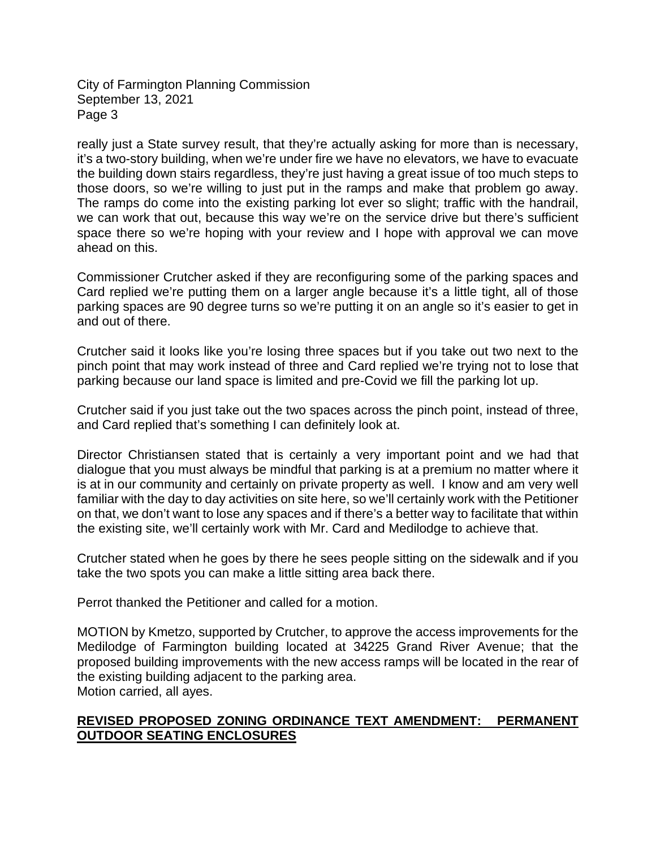really just a State survey result, that they're actually asking for more than is necessary, it's a two-story building, when we're under fire we have no elevators, we have to evacuate the building down stairs regardless, they're just having a great issue of too much steps to those doors, so we're willing to just put in the ramps and make that problem go away. The ramps do come into the existing parking lot ever so slight; traffic with the handrail, we can work that out, because this way we're on the service drive but there's sufficient space there so we're hoping with your review and I hope with approval we can move ahead on this.

Commissioner Crutcher asked if they are reconfiguring some of the parking spaces and Card replied we're putting them on a larger angle because it's a little tight, all of those parking spaces are 90 degree turns so we're putting it on an angle so it's easier to get in and out of there.

Crutcher said it looks like you're losing three spaces but if you take out two next to the pinch point that may work instead of three and Card replied we're trying not to lose that parking because our land space is limited and pre-Covid we fill the parking lot up.

Crutcher said if you just take out the two spaces across the pinch point, instead of three, and Card replied that's something I can definitely look at.

Director Christiansen stated that is certainly a very important point and we had that dialogue that you must always be mindful that parking is at a premium no matter where it is at in our community and certainly on private property as well. I know and am very well familiar with the day to day activities on site here, so we'll certainly work with the Petitioner on that, we don't want to lose any spaces and if there's a better way to facilitate that within the existing site, we'll certainly work with Mr. Card and Medilodge to achieve that.

Crutcher stated when he goes by there he sees people sitting on the sidewalk and if you take the two spots you can make a little sitting area back there.

Perrot thanked the Petitioner and called for a motion.

MOTION by Kmetzo, supported by Crutcher, to approve the access improvements for the Medilodge of Farmington building located at 34225 Grand River Avenue; that the proposed building improvements with the new access ramps will be located in the rear of the existing building adjacent to the parking area. Motion carried, all ayes.

### **REVISED PROPOSED ZONING ORDINANCE TEXT AMENDMENT: PERMANENT OUTDOOR SEATING ENCLOSURES**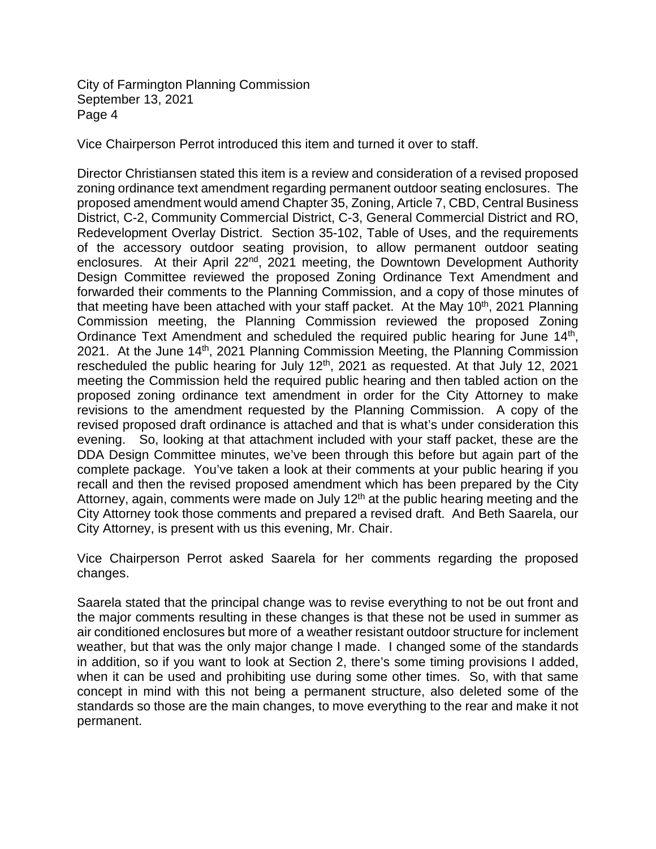Vice Chairperson Perrot introduced this item and turned it over to staff.

Director Christiansen stated this item is a review and consideration of a revised proposed zoning ordinance text amendment regarding permanent outdoor seating enclosures. The proposed amendment would amend Chapter 35, Zoning, Article 7, CBD, Central Business District, C-2, Community Commercial District, C-3, General Commercial District and RO, Redevelopment Overlay District. Section 35-102, Table of Uses, and the requirements of the accessory outdoor seating provision, to allow permanent outdoor seating enclosures. At their April 22<sup>nd</sup>, 2021 meeting, the Downtown Development Authority Design Committee reviewed the proposed Zoning Ordinance Text Amendment and forwarded their comments to the Planning Commission, and a copy of those minutes of that meeting have been attached with your staff packet. At the May  $10<sup>th</sup>$ , 2021 Planning Commission meeting, the Planning Commission reviewed the proposed Zoning Ordinance Text Amendment and scheduled the required public hearing for June 14<sup>th</sup>, 2021. At the June 14<sup>th</sup>, 2021 Planning Commission Meeting, the Planning Commission rescheduled the public hearing for July 12th, 2021 as requested. At that July 12, 2021 meeting the Commission held the required public hearing and then tabled action on the proposed zoning ordinance text amendment in order for the City Attorney to make revisions to the amendment requested by the Planning Commission. A copy of the revised proposed draft ordinance is attached and that is what's under consideration this evening. So, looking at that attachment included with your staff packet, these are the DDA Design Committee minutes, we've been through this before but again part of the complete package. You've taken a look at their comments at your public hearing if you recall and then the revised proposed amendment which has been prepared by the City Attorney, again, comments were made on July 12<sup>th</sup> at the public hearing meeting and the City Attorney took those comments and prepared a revised draft. And Beth Saarela, our City Attorney, is present with us this evening, Mr. Chair.

Vice Chairperson Perrot asked Saarela for her comments regarding the proposed changes.

Saarela stated that the principal change was to revise everything to not be out front and the major comments resulting in these changes is that these not be used in summer as air conditioned enclosures but more of a weather resistant outdoor structure for inclement weather, but that was the only major change I made. I changed some of the standards in addition, so if you want to look at Section 2, there's some timing provisions I added, when it can be used and prohibiting use during some other times. So, with that same concept in mind with this not being a permanent structure, also deleted some of the standards so those are the main changes, to move everything to the rear and make it not permanent.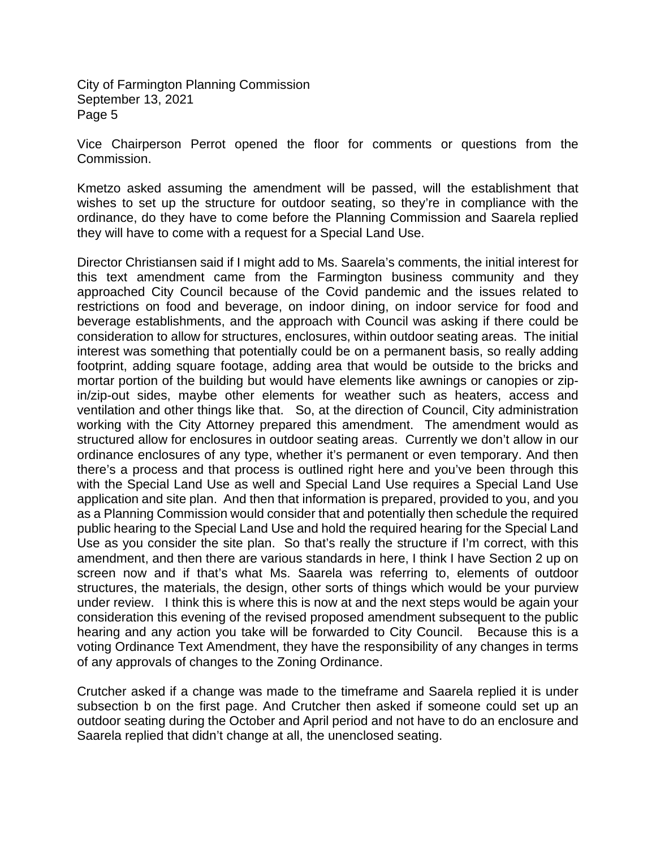Vice Chairperson Perrot opened the floor for comments or questions from the Commission.

Kmetzo asked assuming the amendment will be passed, will the establishment that wishes to set up the structure for outdoor seating, so they're in compliance with the ordinance, do they have to come before the Planning Commission and Saarela replied they will have to come with a request for a Special Land Use.

Director Christiansen said if I might add to Ms. Saarela's comments, the initial interest for this text amendment came from the Farmington business community and they approached City Council because of the Covid pandemic and the issues related to restrictions on food and beverage, on indoor dining, on indoor service for food and beverage establishments, and the approach with Council was asking if there could be consideration to allow for structures, enclosures, within outdoor seating areas. The initial interest was something that potentially could be on a permanent basis, so really adding footprint, adding square footage, adding area that would be outside to the bricks and mortar portion of the building but would have elements like awnings or canopies or zipin/zip-out sides, maybe other elements for weather such as heaters, access and ventilation and other things like that. So, at the direction of Council, City administration working with the City Attorney prepared this amendment. The amendment would as structured allow for enclosures in outdoor seating areas. Currently we don't allow in our ordinance enclosures of any type, whether it's permanent or even temporary. And then there's a process and that process is outlined right here and you've been through this with the Special Land Use as well and Special Land Use requires a Special Land Use application and site plan. And then that information is prepared, provided to you, and you as a Planning Commission would consider that and potentially then schedule the required public hearing to the Special Land Use and hold the required hearing for the Special Land Use as you consider the site plan. So that's really the structure if I'm correct, with this amendment, and then there are various standards in here, I think I have Section 2 up on screen now and if that's what Ms. Saarela was referring to, elements of outdoor structures, the materials, the design, other sorts of things which would be your purview under review. I think this is where this is now at and the next steps would be again your consideration this evening of the revised proposed amendment subsequent to the public hearing and any action you take will be forwarded to City Council. Because this is a voting Ordinance Text Amendment, they have the responsibility of any changes in terms of any approvals of changes to the Zoning Ordinance.

Crutcher asked if a change was made to the timeframe and Saarela replied it is under subsection b on the first page. And Crutcher then asked if someone could set up an outdoor seating during the October and April period and not have to do an enclosure and Saarela replied that didn't change at all, the unenclosed seating.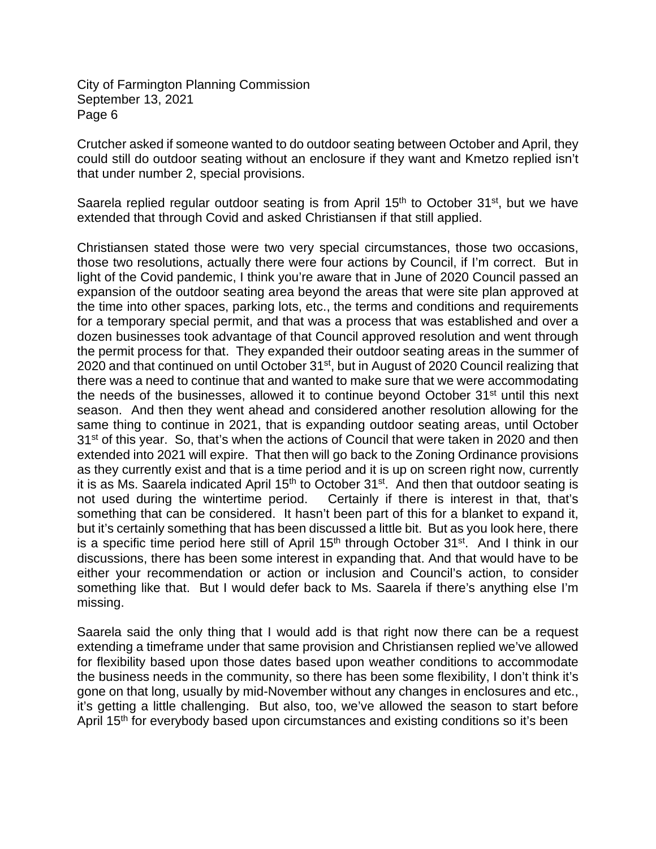Crutcher asked if someone wanted to do outdoor seating between October and April, they could still do outdoor seating without an enclosure if they want and Kmetzo replied isn't that under number 2, special provisions.

Saarela replied regular outdoor seating is from April  $15<sup>th</sup>$  to October  $31<sup>st</sup>$ , but we have extended that through Covid and asked Christiansen if that still applied.

Christiansen stated those were two very special circumstances, those two occasions, those two resolutions, actually there were four actions by Council, if I'm correct. But in light of the Covid pandemic, I think you're aware that in June of 2020 Council passed an expansion of the outdoor seating area beyond the areas that were site plan approved at the time into other spaces, parking lots, etc., the terms and conditions and requirements for a temporary special permit, and that was a process that was established and over a dozen businesses took advantage of that Council approved resolution and went through the permit process for that. They expanded their outdoor seating areas in the summer of 2020 and that continued on until October 31<sup>st</sup>, but in August of 2020 Council realizing that there was a need to continue that and wanted to make sure that we were accommodating the needs of the businesses, allowed it to continue beyond October 31<sup>st</sup> until this next season. And then they went ahead and considered another resolution allowing for the same thing to continue in 2021, that is expanding outdoor seating areas, until October 31<sup>st</sup> of this year. So, that's when the actions of Council that were taken in 2020 and then extended into 2021 will expire. That then will go back to the Zoning Ordinance provisions as they currently exist and that is a time period and it is up on screen right now, currently it is as Ms. Saarela indicated April  $15<sup>th</sup>$  to October  $31<sup>st</sup>$ . And then that outdoor seating is not used during the wintertime period. Certainly if there is interest in that, that's something that can be considered. It hasn't been part of this for a blanket to expand it, but it's certainly something that has been discussed a little bit. But as you look here, there is a specific time period here still of April  $15<sup>th</sup>$  through October  $31<sup>st</sup>$ . And I think in our discussions, there has been some interest in expanding that. And that would have to be either your recommendation or action or inclusion and Council's action, to consider something like that. But I would defer back to Ms. Saarela if there's anything else I'm missing.

Saarela said the only thing that I would add is that right now there can be a request extending a timeframe under that same provision and Christiansen replied we've allowed for flexibility based upon those dates based upon weather conditions to accommodate the business needs in the community, so there has been some flexibility, I don't think it's gone on that long, usually by mid-November without any changes in enclosures and etc., it's getting a little challenging. But also, too, we've allowed the season to start before April 15<sup>th</sup> for everybody based upon circumstances and existing conditions so it's been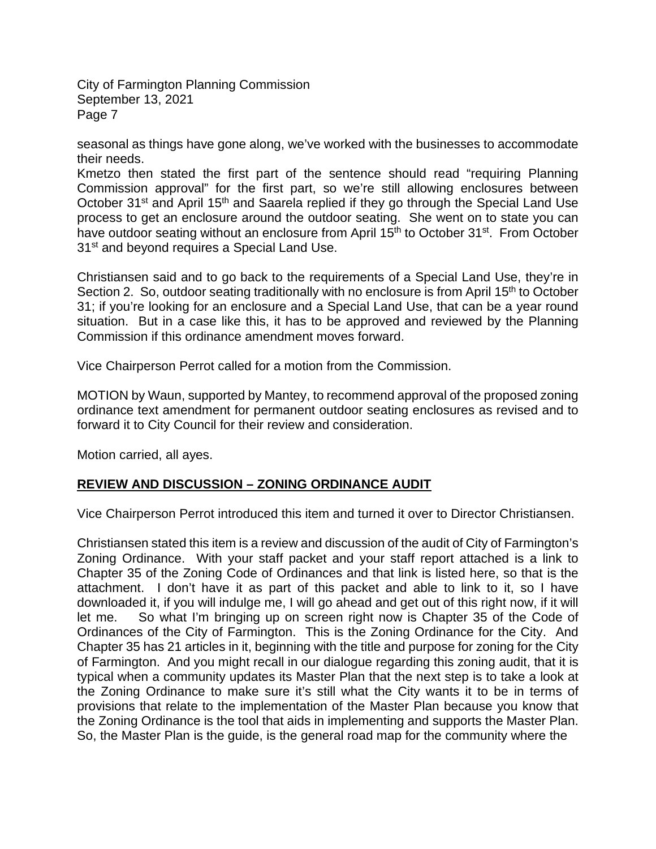seasonal as things have gone along, we've worked with the businesses to accommodate their needs.

Kmetzo then stated the first part of the sentence should read "requiring Planning Commission approval" for the first part, so we're still allowing enclosures between October 31<sup>st</sup> and April 15<sup>th</sup> and Saarela replied if they go through the Special Land Use process to get an enclosure around the outdoor seating. She went on to state you can have outdoor seating without an enclosure from April 15<sup>th</sup> to October 31<sup>st</sup>. From October 31<sup>st</sup> and beyond requires a Special Land Use.

Christiansen said and to go back to the requirements of a Special Land Use, they're in Section 2. So, outdoor seating traditionally with no enclosure is from April 15<sup>th</sup> to October 31; if you're looking for an enclosure and a Special Land Use, that can be a year round situation. But in a case like this, it has to be approved and reviewed by the Planning Commission if this ordinance amendment moves forward.

Vice Chairperson Perrot called for a motion from the Commission.

MOTION by Waun, supported by Mantey, to recommend approval of the proposed zoning ordinance text amendment for permanent outdoor seating enclosures as revised and to forward it to City Council for their review and consideration.

Motion carried, all ayes.

### **REVIEW AND DISCUSSION – ZONING ORDINANCE AUDIT**

Vice Chairperson Perrot introduced this item and turned it over to Director Christiansen.

Christiansen stated this item is a review and discussion of the audit of City of Farmington's Zoning Ordinance. With your staff packet and your staff report attached is a link to Chapter 35 of the Zoning Code of Ordinances and that link is listed here, so that is the attachment. I don't have it as part of this packet and able to link to it, so I have downloaded it, if you will indulge me, I will go ahead and get out of this right now, if it will let me. So what I'm bringing up on screen right now is Chapter 35 of the Code of Ordinances of the City of Farmington. This is the Zoning Ordinance for the City. And Chapter 35 has 21 articles in it, beginning with the title and purpose for zoning for the City of Farmington. And you might recall in our dialogue regarding this zoning audit, that it is typical when a community updates its Master Plan that the next step is to take a look at the Zoning Ordinance to make sure it's still what the City wants it to be in terms of provisions that relate to the implementation of the Master Plan because you know that the Zoning Ordinance is the tool that aids in implementing and supports the Master Plan. So, the Master Plan is the guide, is the general road map for the community where the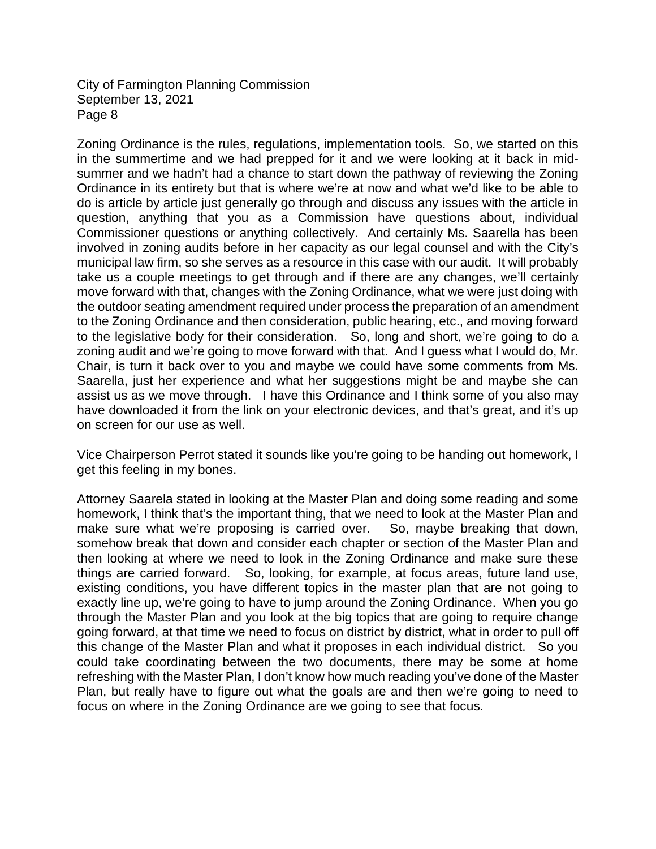Zoning Ordinance is the rules, regulations, implementation tools. So, we started on this in the summertime and we had prepped for it and we were looking at it back in midsummer and we hadn't had a chance to start down the pathway of reviewing the Zoning Ordinance in its entirety but that is where we're at now and what we'd like to be able to do is article by article just generally go through and discuss any issues with the article in question, anything that you as a Commission have questions about, individual Commissioner questions or anything collectively. And certainly Ms. Saarella has been involved in zoning audits before in her capacity as our legal counsel and with the City's municipal law firm, so she serves as a resource in this case with our audit. It will probably take us a couple meetings to get through and if there are any changes, we'll certainly move forward with that, changes with the Zoning Ordinance, what we were just doing with the outdoor seating amendment required under process the preparation of an amendment to the Zoning Ordinance and then consideration, public hearing, etc., and moving forward to the legislative body for their consideration. So, long and short, we're going to do a zoning audit and we're going to move forward with that. And I guess what I would do, Mr. Chair, is turn it back over to you and maybe we could have some comments from Ms. Saarella, just her experience and what her suggestions might be and maybe she can assist us as we move through. I have this Ordinance and I think some of you also may have downloaded it from the link on your electronic devices, and that's great, and it's up on screen for our use as well.

Vice Chairperson Perrot stated it sounds like you're going to be handing out homework, I get this feeling in my bones.

Attorney Saarela stated in looking at the Master Plan and doing some reading and some homework, I think that's the important thing, that we need to look at the Master Plan and make sure what we're proposing is carried over. So, maybe breaking that down, somehow break that down and consider each chapter or section of the Master Plan and then looking at where we need to look in the Zoning Ordinance and make sure these things are carried forward. So, looking, for example, at focus areas, future land use, existing conditions, you have different topics in the master plan that are not going to exactly line up, we're going to have to jump around the Zoning Ordinance. When you go through the Master Plan and you look at the big topics that are going to require change going forward, at that time we need to focus on district by district, what in order to pull off this change of the Master Plan and what it proposes in each individual district. So you could take coordinating between the two documents, there may be some at home refreshing with the Master Plan, I don't know how much reading you've done of the Master Plan, but really have to figure out what the goals are and then we're going to need to focus on where in the Zoning Ordinance are we going to see that focus.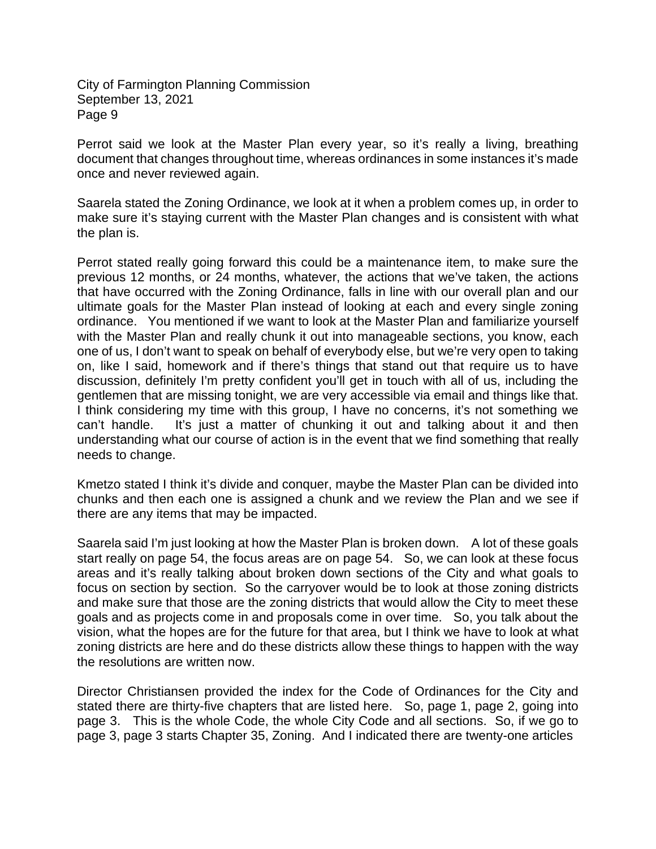Perrot said we look at the Master Plan every year, so it's really a living, breathing document that changes throughout time, whereas ordinances in some instances it's made once and never reviewed again.

Saarela stated the Zoning Ordinance, we look at it when a problem comes up, in order to make sure it's staying current with the Master Plan changes and is consistent with what the plan is.

Perrot stated really going forward this could be a maintenance item, to make sure the previous 12 months, or 24 months, whatever, the actions that we've taken, the actions that have occurred with the Zoning Ordinance, falls in line with our overall plan and our ultimate goals for the Master Plan instead of looking at each and every single zoning ordinance. You mentioned if we want to look at the Master Plan and familiarize yourself with the Master Plan and really chunk it out into manageable sections, you know, each one of us, I don't want to speak on behalf of everybody else, but we're very open to taking on, like I said, homework and if there's things that stand out that require us to have discussion, definitely I'm pretty confident you'll get in touch with all of us, including the gentlemen that are missing tonight, we are very accessible via email and things like that. I think considering my time with this group, I have no concerns, it's not something we can't handle. It's just a matter of chunking it out and talking about it and then understanding what our course of action is in the event that we find something that really needs to change.

Kmetzo stated I think it's divide and conquer, maybe the Master Plan can be divided into chunks and then each one is assigned a chunk and we review the Plan and we see if there are any items that may be impacted.

Saarela said I'm just looking at how the Master Plan is broken down. A lot of these goals start really on page 54, the focus areas are on page 54. So, we can look at these focus areas and it's really talking about broken down sections of the City and what goals to focus on section by section. So the carryover would be to look at those zoning districts and make sure that those are the zoning districts that would allow the City to meet these goals and as projects come in and proposals come in over time. So, you talk about the vision, what the hopes are for the future for that area, but I think we have to look at what zoning districts are here and do these districts allow these things to happen with the way the resolutions are written now.

Director Christiansen provided the index for the Code of Ordinances for the City and stated there are thirty-five chapters that are listed here. So, page 1, page 2, going into page 3. This is the whole Code, the whole City Code and all sections. So, if we go to page 3, page 3 starts Chapter 35, Zoning. And I indicated there are twenty-one articles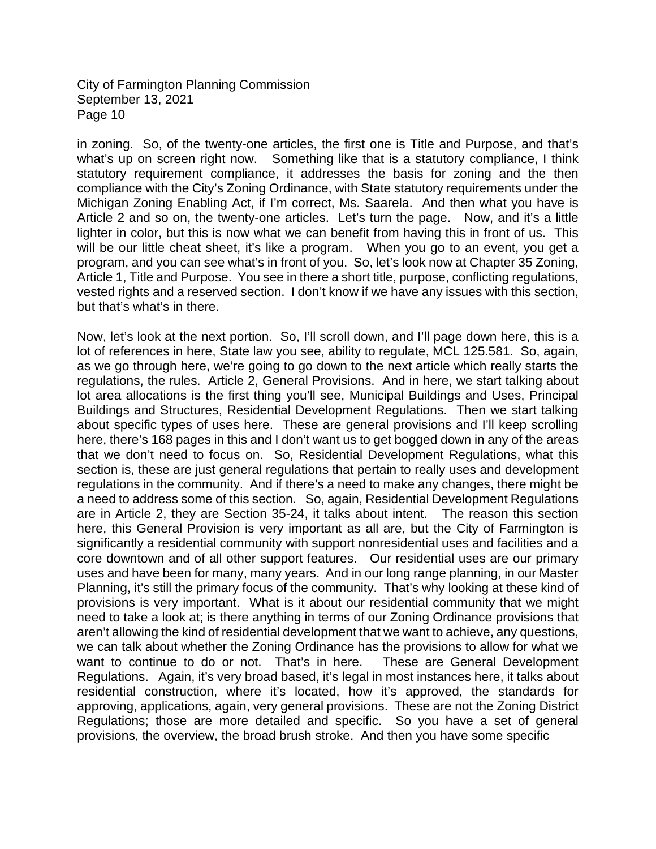in zoning. So, of the twenty-one articles, the first one is Title and Purpose, and that's what's up on screen right now. Something like that is a statutory compliance, I think statutory requirement compliance, it addresses the basis for zoning and the then compliance with the City's Zoning Ordinance, with State statutory requirements under the Michigan Zoning Enabling Act, if I'm correct, Ms. Saarela. And then what you have is Article 2 and so on, the twenty-one articles. Let's turn the page. Now, and it's a little lighter in color, but this is now what we can benefit from having this in front of us. This will be our little cheat sheet, it's like a program. When you go to an event, you get a program, and you can see what's in front of you. So, let's look now at Chapter 35 Zoning, Article 1, Title and Purpose. You see in there a short title, purpose, conflicting regulations, vested rights and a reserved section. I don't know if we have any issues with this section, but that's what's in there.

Now, let's look at the next portion. So, I'll scroll down, and I'll page down here, this is a lot of references in here, State law you see, ability to regulate, MCL 125.581. So, again, as we go through here, we're going to go down to the next article which really starts the regulations, the rules. Article 2, General Provisions. And in here, we start talking about lot area allocations is the first thing you'll see, Municipal Buildings and Uses, Principal Buildings and Structures, Residential Development Regulations. Then we start talking about specific types of uses here. These are general provisions and I'll keep scrolling here, there's 168 pages in this and I don't want us to get bogged down in any of the areas that we don't need to focus on. So, Residential Development Regulations, what this section is, these are just general regulations that pertain to really uses and development regulations in the community. And if there's a need to make any changes, there might be a need to address some of this section. So, again, Residential Development Regulations are in Article 2, they are Section 35-24, it talks about intent. The reason this section here, this General Provision is very important as all are, but the City of Farmington is significantly a residential community with support nonresidential uses and facilities and a core downtown and of all other support features. Our residential uses are our primary uses and have been for many, many years. And in our long range planning, in our Master Planning, it's still the primary focus of the community. That's why looking at these kind of provisions is very important. What is it about our residential community that we might need to take a look at; is there anything in terms of our Zoning Ordinance provisions that aren't allowing the kind of residential development that we want to achieve, any questions, we can talk about whether the Zoning Ordinance has the provisions to allow for what we want to continue to do or not. That's in here. These are General Development Regulations. Again, it's very broad based, it's legal in most instances here, it talks about residential construction, where it's located, how it's approved, the standards for approving, applications, again, very general provisions. These are not the Zoning District Regulations; those are more detailed and specific. So you have a set of general provisions, the overview, the broad brush stroke. And then you have some specific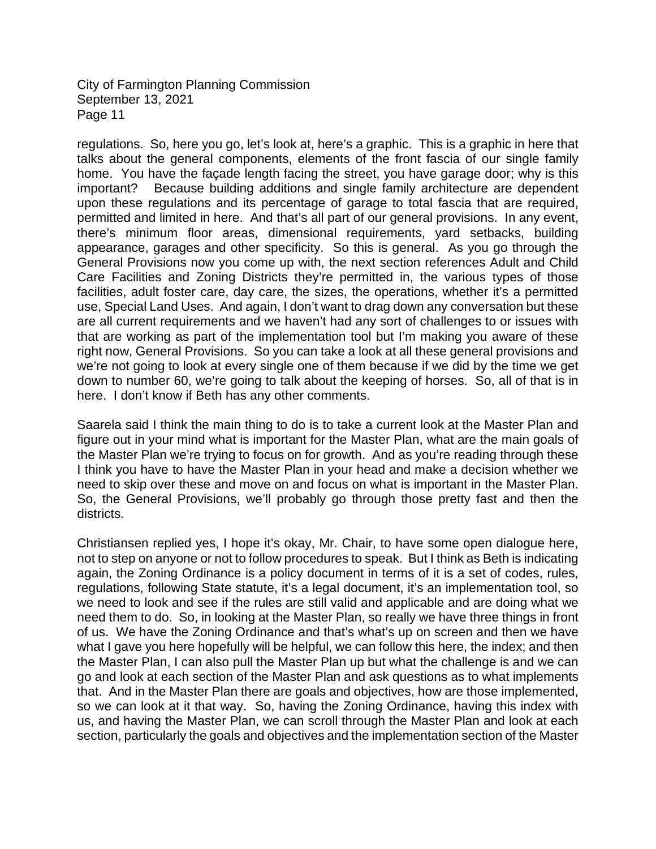regulations. So, here you go, let's look at, here's a graphic. This is a graphic in here that talks about the general components, elements of the front fascia of our single family home. You have the façade length facing the street, you have garage door; why is this important? Because building additions and single family architecture are dependent upon these regulations and its percentage of garage to total fascia that are required, permitted and limited in here. And that's all part of our general provisions. In any event, there's minimum floor areas, dimensional requirements, yard setbacks, building appearance, garages and other specificity. So this is general. As you go through the General Provisions now you come up with, the next section references Adult and Child Care Facilities and Zoning Districts they're permitted in, the various types of those facilities, adult foster care, day care, the sizes, the operations, whether it's a permitted use, Special Land Uses. And again, I don't want to drag down any conversation but these are all current requirements and we haven't had any sort of challenges to or issues with that are working as part of the implementation tool but I'm making you aware of these right now, General Provisions. So you can take a look at all these general provisions and we're not going to look at every single one of them because if we did by the time we get down to number 60, we're going to talk about the keeping of horses. So, all of that is in here. I don't know if Beth has any other comments.

Saarela said I think the main thing to do is to take a current look at the Master Plan and figure out in your mind what is important for the Master Plan, what are the main goals of the Master Plan we're trying to focus on for growth. And as you're reading through these I think you have to have the Master Plan in your head and make a decision whether we need to skip over these and move on and focus on what is important in the Master Plan. So, the General Provisions, we'll probably go through those pretty fast and then the districts.

Christiansen replied yes, I hope it's okay, Mr. Chair, to have some open dialogue here, not to step on anyone or not to follow procedures to speak. But I think as Beth is indicating again, the Zoning Ordinance is a policy document in terms of it is a set of codes, rules, regulations, following State statute, it's a legal document, it's an implementation tool, so we need to look and see if the rules are still valid and applicable and are doing what we need them to do. So, in looking at the Master Plan, so really we have three things in front of us. We have the Zoning Ordinance and that's what's up on screen and then we have what I gave you here hopefully will be helpful, we can follow this here, the index; and then the Master Plan, I can also pull the Master Plan up but what the challenge is and we can go and look at each section of the Master Plan and ask questions as to what implements that. And in the Master Plan there are goals and objectives, how are those implemented, so we can look at it that way. So, having the Zoning Ordinance, having this index with us, and having the Master Plan, we can scroll through the Master Plan and look at each section, particularly the goals and objectives and the implementation section of the Master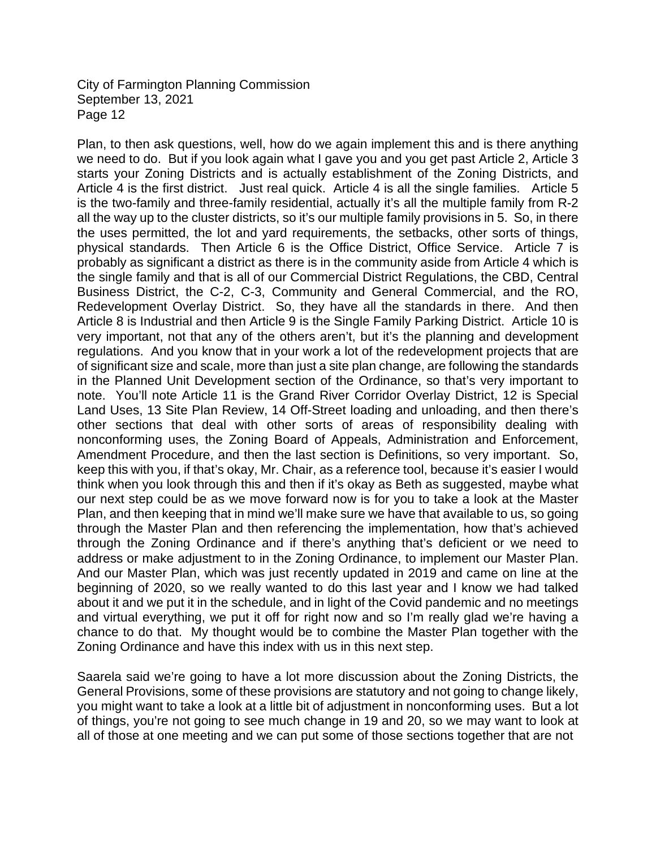Plan, to then ask questions, well, how do we again implement this and is there anything we need to do. But if you look again what I gave you and you get past Article 2, Article 3 starts your Zoning Districts and is actually establishment of the Zoning Districts, and Article 4 is the first district. Just real quick. Article 4 is all the single families. Article 5 is the two-family and three-family residential, actually it's all the multiple family from R-2 all the way up to the cluster districts, so it's our multiple family provisions in 5. So, in there the uses permitted, the lot and yard requirements, the setbacks, other sorts of things, physical standards. Then Article 6 is the Office District, Office Service. Article 7 is probably as significant a district as there is in the community aside from Article 4 which is the single family and that is all of our Commercial District Regulations, the CBD, Central Business District, the C-2, C-3, Community and General Commercial, and the RO, Redevelopment Overlay District. So, they have all the standards in there. And then Article 8 is Industrial and then Article 9 is the Single Family Parking District. Article 10 is very important, not that any of the others aren't, but it's the planning and development regulations. And you know that in your work a lot of the redevelopment projects that are of significant size and scale, more than just a site plan change, are following the standards in the Planned Unit Development section of the Ordinance, so that's very important to note. You'll note Article 11 is the Grand River Corridor Overlay District, 12 is Special Land Uses, 13 Site Plan Review, 14 Off-Street loading and unloading, and then there's other sections that deal with other sorts of areas of responsibility dealing with nonconforming uses, the Zoning Board of Appeals, Administration and Enforcement, Amendment Procedure, and then the last section is Definitions, so very important. So, keep this with you, if that's okay, Mr. Chair, as a reference tool, because it's easier I would think when you look through this and then if it's okay as Beth as suggested, maybe what our next step could be as we move forward now is for you to take a look at the Master Plan, and then keeping that in mind we'll make sure we have that available to us, so going through the Master Plan and then referencing the implementation, how that's achieved through the Zoning Ordinance and if there's anything that's deficient or we need to address or make adjustment to in the Zoning Ordinance, to implement our Master Plan. And our Master Plan, which was just recently updated in 2019 and came on line at the beginning of 2020, so we really wanted to do this last year and I know we had talked about it and we put it in the schedule, and in light of the Covid pandemic and no meetings and virtual everything, we put it off for right now and so I'm really glad we're having a chance to do that. My thought would be to combine the Master Plan together with the Zoning Ordinance and have this index with us in this next step.

Saarela said we're going to have a lot more discussion about the Zoning Districts, the General Provisions, some of these provisions are statutory and not going to change likely, you might want to take a look at a little bit of adjustment in nonconforming uses. But a lot of things, you're not going to see much change in 19 and 20, so we may want to look at all of those at one meeting and we can put some of those sections together that are not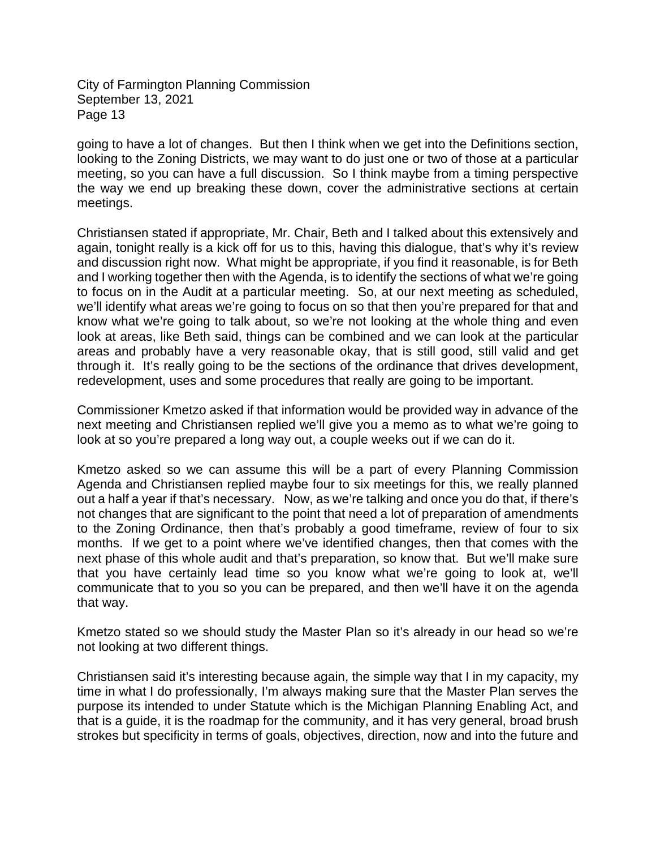going to have a lot of changes. But then I think when we get into the Definitions section, looking to the Zoning Districts, we may want to do just one or two of those at a particular meeting, so you can have a full discussion. So I think maybe from a timing perspective the way we end up breaking these down, cover the administrative sections at certain meetings.

Christiansen stated if appropriate, Mr. Chair, Beth and I talked about this extensively and again, tonight really is a kick off for us to this, having this dialogue, that's why it's review and discussion right now. What might be appropriate, if you find it reasonable, is for Beth and I working together then with the Agenda, is to identify the sections of what we're going to focus on in the Audit at a particular meeting. So, at our next meeting as scheduled, we'll identify what areas we're going to focus on so that then you're prepared for that and know what we're going to talk about, so we're not looking at the whole thing and even look at areas, like Beth said, things can be combined and we can look at the particular areas and probably have a very reasonable okay, that is still good, still valid and get through it. It's really going to be the sections of the ordinance that drives development, redevelopment, uses and some procedures that really are going to be important.

Commissioner Kmetzo asked if that information would be provided way in advance of the next meeting and Christiansen replied we'll give you a memo as to what we're going to look at so you're prepared a long way out, a couple weeks out if we can do it.

Kmetzo asked so we can assume this will be a part of every Planning Commission Agenda and Christiansen replied maybe four to six meetings for this, we really planned out a half a year if that's necessary. Now, as we're talking and once you do that, if there's not changes that are significant to the point that need a lot of preparation of amendments to the Zoning Ordinance, then that's probably a good timeframe, review of four to six months. If we get to a point where we've identified changes, then that comes with the next phase of this whole audit and that's preparation, so know that. But we'll make sure that you have certainly lead time so you know what we're going to look at, we'll communicate that to you so you can be prepared, and then we'll have it on the agenda that way.

Kmetzo stated so we should study the Master Plan so it's already in our head so we're not looking at two different things.

Christiansen said it's interesting because again, the simple way that I in my capacity, my time in what I do professionally, I'm always making sure that the Master Plan serves the purpose its intended to under Statute which is the Michigan Planning Enabling Act, and that is a guide, it is the roadmap for the community, and it has very general, broad brush strokes but specificity in terms of goals, objectives, direction, now and into the future and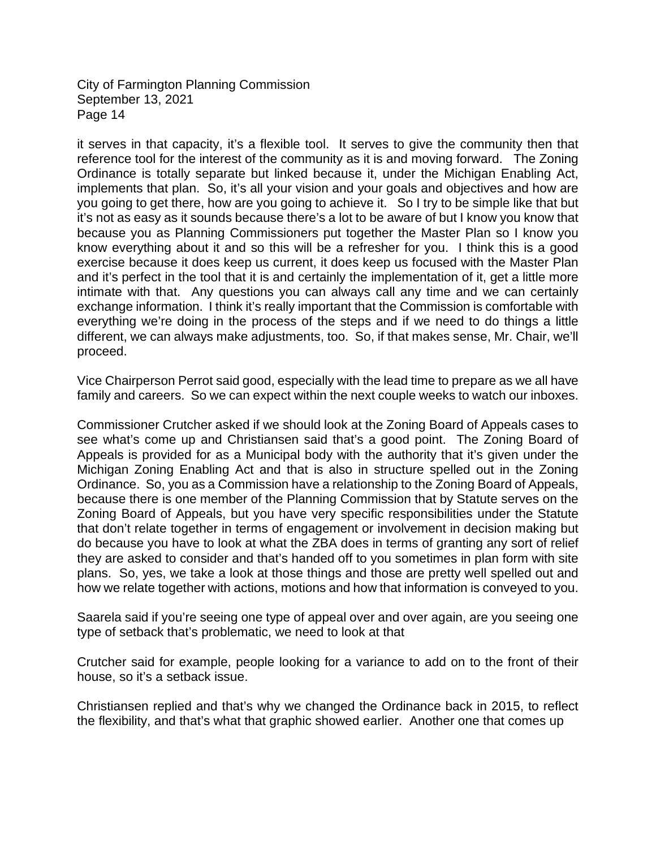it serves in that capacity, it's a flexible tool. It serves to give the community then that reference tool for the interest of the community as it is and moving forward. The Zoning Ordinance is totally separate but linked because it, under the Michigan Enabling Act, implements that plan. So, it's all your vision and your goals and objectives and how are you going to get there, how are you going to achieve it. So I try to be simple like that but it's not as easy as it sounds because there's a lot to be aware of but I know you know that because you as Planning Commissioners put together the Master Plan so I know you know everything about it and so this will be a refresher for you. I think this is a good exercise because it does keep us current, it does keep us focused with the Master Plan and it's perfect in the tool that it is and certainly the implementation of it, get a little more intimate with that. Any questions you can always call any time and we can certainly exchange information. I think it's really important that the Commission is comfortable with everything we're doing in the process of the steps and if we need to do things a little different, we can always make adjustments, too. So, if that makes sense, Mr. Chair, we'll proceed.

Vice Chairperson Perrot said good, especially with the lead time to prepare as we all have family and careers. So we can expect within the next couple weeks to watch our inboxes.

Commissioner Crutcher asked if we should look at the Zoning Board of Appeals cases to see what's come up and Christiansen said that's a good point. The Zoning Board of Appeals is provided for as a Municipal body with the authority that it's given under the Michigan Zoning Enabling Act and that is also in structure spelled out in the Zoning Ordinance. So, you as a Commission have a relationship to the Zoning Board of Appeals, because there is one member of the Planning Commission that by Statute serves on the Zoning Board of Appeals, but you have very specific responsibilities under the Statute that don't relate together in terms of engagement or involvement in decision making but do because you have to look at what the ZBA does in terms of granting any sort of relief they are asked to consider and that's handed off to you sometimes in plan form with site plans. So, yes, we take a look at those things and those are pretty well spelled out and how we relate together with actions, motions and how that information is conveyed to you.

Saarela said if you're seeing one type of appeal over and over again, are you seeing one type of setback that's problematic, we need to look at that

Crutcher said for example, people looking for a variance to add on to the front of their house, so it's a setback issue.

Christiansen replied and that's why we changed the Ordinance back in 2015, to reflect the flexibility, and that's what that graphic showed earlier. Another one that comes up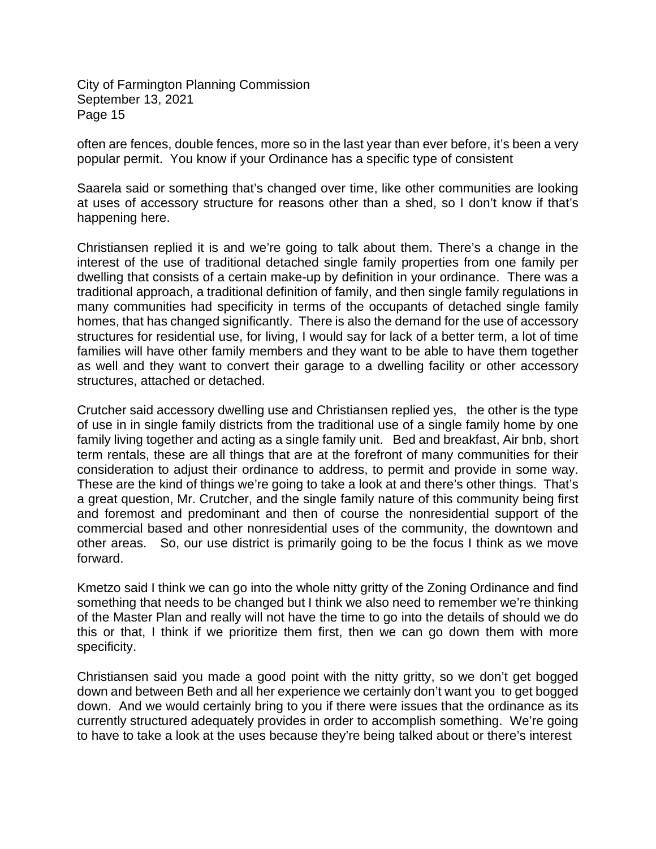often are fences, double fences, more so in the last year than ever before, it's been a very popular permit. You know if your Ordinance has a specific type of consistent

Saarela said or something that's changed over time, like other communities are looking at uses of accessory structure for reasons other than a shed, so I don't know if that's happening here.

Christiansen replied it is and we're going to talk about them. There's a change in the interest of the use of traditional detached single family properties from one family per dwelling that consists of a certain make-up by definition in your ordinance. There was a traditional approach, a traditional definition of family, and then single family regulations in many communities had specificity in terms of the occupants of detached single family homes, that has changed significantly. There is also the demand for the use of accessory structures for residential use, for living, I would say for lack of a better term, a lot of time families will have other family members and they want to be able to have them together as well and they want to convert their garage to a dwelling facility or other accessory structures, attached or detached.

Crutcher said accessory dwelling use and Christiansen replied yes, the other is the type of use in in single family districts from the traditional use of a single family home by one family living together and acting as a single family unit. Bed and breakfast, Air bnb, short term rentals, these are all things that are at the forefront of many communities for their consideration to adjust their ordinance to address, to permit and provide in some way. These are the kind of things we're going to take a look at and there's other things. That's a great question, Mr. Crutcher, and the single family nature of this community being first and foremost and predominant and then of course the nonresidential support of the commercial based and other nonresidential uses of the community, the downtown and other areas. So, our use district is primarily going to be the focus I think as we move forward.

Kmetzo said I think we can go into the whole nitty gritty of the Zoning Ordinance and find something that needs to be changed but I think we also need to remember we're thinking of the Master Plan and really will not have the time to go into the details of should we do this or that, I think if we prioritize them first, then we can go down them with more specificity.

Christiansen said you made a good point with the nitty gritty, so we don't get bogged down and between Beth and all her experience we certainly don't want you to get bogged down. And we would certainly bring to you if there were issues that the ordinance as its currently structured adequately provides in order to accomplish something. We're going to have to take a look at the uses because they're being talked about or there's interest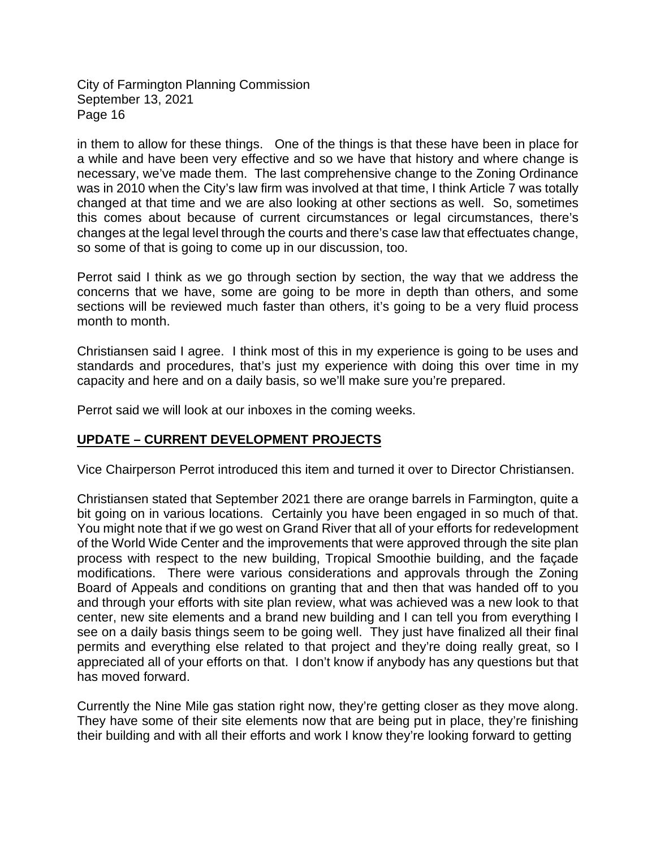in them to allow for these things. One of the things is that these have been in place for a while and have been very effective and so we have that history and where change is necessary, we've made them. The last comprehensive change to the Zoning Ordinance was in 2010 when the City's law firm was involved at that time, I think Article 7 was totally changed at that time and we are also looking at other sections as well. So, sometimes this comes about because of current circumstances or legal circumstances, there's changes at the legal level through the courts and there's case law that effectuates change, so some of that is going to come up in our discussion, too.

Perrot said I think as we go through section by section, the way that we address the concerns that we have, some are going to be more in depth than others, and some sections will be reviewed much faster than others, it's going to be a very fluid process month to month.

Christiansen said I agree. I think most of this in my experience is going to be uses and standards and procedures, that's just my experience with doing this over time in my capacity and here and on a daily basis, so we'll make sure you're prepared.

Perrot said we will look at our inboxes in the coming weeks.

### **UPDATE – CURRENT DEVELOPMENT PROJECTS**

Vice Chairperson Perrot introduced this item and turned it over to Director Christiansen.

Christiansen stated that September 2021 there are orange barrels in Farmington, quite a bit going on in various locations. Certainly you have been engaged in so much of that. You might note that if we go west on Grand River that all of your efforts for redevelopment of the World Wide Center and the improvements that were approved through the site plan process with respect to the new building, Tropical Smoothie building, and the façade modifications. There were various considerations and approvals through the Zoning Board of Appeals and conditions on granting that and then that was handed off to you and through your efforts with site plan review, what was achieved was a new look to that center, new site elements and a brand new building and I can tell you from everything I see on a daily basis things seem to be going well. They just have finalized all their final permits and everything else related to that project and they're doing really great, so I appreciated all of your efforts on that. I don't know if anybody has any questions but that has moved forward.

Currently the Nine Mile gas station right now, they're getting closer as they move along. They have some of their site elements now that are being put in place, they're finishing their building and with all their efforts and work I know they're looking forward to getting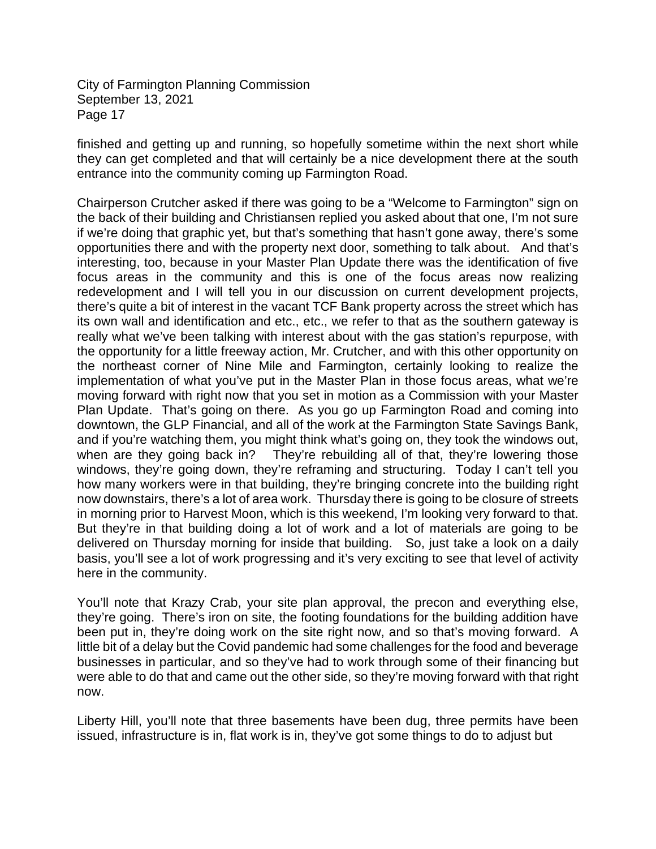finished and getting up and running, so hopefully sometime within the next short while they can get completed and that will certainly be a nice development there at the south entrance into the community coming up Farmington Road.

Chairperson Crutcher asked if there was going to be a "Welcome to Farmington" sign on the back of their building and Christiansen replied you asked about that one, I'm not sure if we're doing that graphic yet, but that's something that hasn't gone away, there's some opportunities there and with the property next door, something to talk about. And that's interesting, too, because in your Master Plan Update there was the identification of five focus areas in the community and this is one of the focus areas now realizing redevelopment and I will tell you in our discussion on current development projects, there's quite a bit of interest in the vacant TCF Bank property across the street which has its own wall and identification and etc., etc., we refer to that as the southern gateway is really what we've been talking with interest about with the gas station's repurpose, with the opportunity for a little freeway action, Mr. Crutcher, and with this other opportunity on the northeast corner of Nine Mile and Farmington, certainly looking to realize the implementation of what you've put in the Master Plan in those focus areas, what we're moving forward with right now that you set in motion as a Commission with your Master Plan Update. That's going on there. As you go up Farmington Road and coming into downtown, the GLP Financial, and all of the work at the Farmington State Savings Bank, and if you're watching them, you might think what's going on, they took the windows out, when are they going back in? They're rebuilding all of that, they're lowering those windows, they're going down, they're reframing and structuring. Today I can't tell you how many workers were in that building, they're bringing concrete into the building right now downstairs, there's a lot of area work. Thursday there is going to be closure of streets in morning prior to Harvest Moon, which is this weekend, I'm looking very forward to that. But they're in that building doing a lot of work and a lot of materials are going to be delivered on Thursday morning for inside that building. So, just take a look on a daily basis, you'll see a lot of work progressing and it's very exciting to see that level of activity here in the community.

You'll note that Krazy Crab, your site plan approval, the precon and everything else, they're going. There's iron on site, the footing foundations for the building addition have been put in, they're doing work on the site right now, and so that's moving forward. A little bit of a delay but the Covid pandemic had some challenges for the food and beverage businesses in particular, and so they've had to work through some of their financing but were able to do that and came out the other side, so they're moving forward with that right now.

Liberty Hill, you'll note that three basements have been dug, three permits have been issued, infrastructure is in, flat work is in, they've got some things to do to adjust but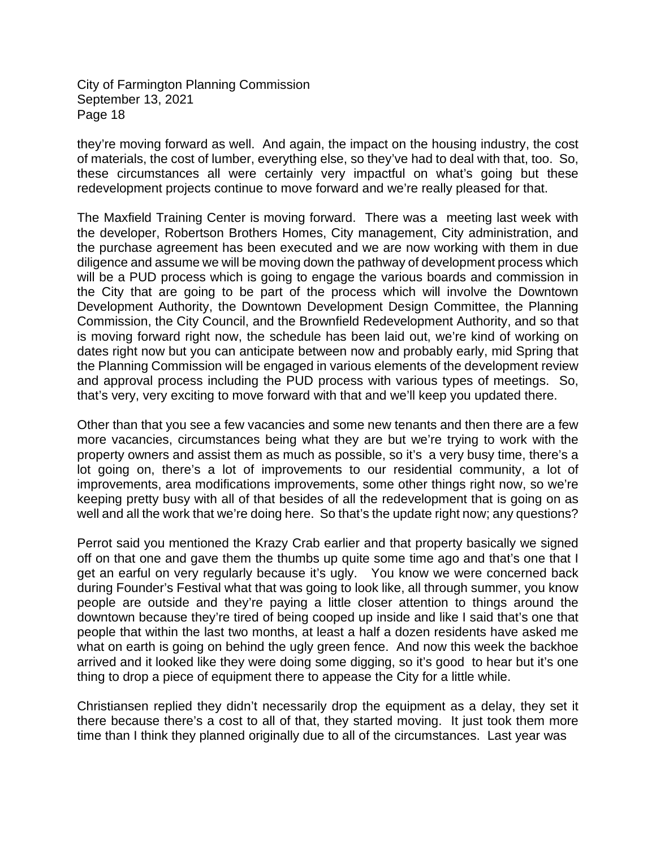they're moving forward as well. And again, the impact on the housing industry, the cost of materials, the cost of lumber, everything else, so they've had to deal with that, too. So, these circumstances all were certainly very impactful on what's going but these redevelopment projects continue to move forward and we're really pleased for that.

The Maxfield Training Center is moving forward. There was a meeting last week with the developer, Robertson Brothers Homes, City management, City administration, and the purchase agreement has been executed and we are now working with them in due diligence and assume we will be moving down the pathway of development process which will be a PUD process which is going to engage the various boards and commission in the City that are going to be part of the process which will involve the Downtown Development Authority, the Downtown Development Design Committee, the Planning Commission, the City Council, and the Brownfield Redevelopment Authority, and so that is moving forward right now, the schedule has been laid out, we're kind of working on dates right now but you can anticipate between now and probably early, mid Spring that the Planning Commission will be engaged in various elements of the development review and approval process including the PUD process with various types of meetings. So, that's very, very exciting to move forward with that and we'll keep you updated there.

Other than that you see a few vacancies and some new tenants and then there are a few more vacancies, circumstances being what they are but we're trying to work with the property owners and assist them as much as possible, so it's a very busy time, there's a lot going on, there's a lot of improvements to our residential community, a lot of improvements, area modifications improvements, some other things right now, so we're keeping pretty busy with all of that besides of all the redevelopment that is going on as well and all the work that we're doing here. So that's the update right now; any questions?

Perrot said you mentioned the Krazy Crab earlier and that property basically we signed off on that one and gave them the thumbs up quite some time ago and that's one that I get an earful on very regularly because it's ugly. You know we were concerned back during Founder's Festival what that was going to look like, all through summer, you know people are outside and they're paying a little closer attention to things around the downtown because they're tired of being cooped up inside and like I said that's one that people that within the last two months, at least a half a dozen residents have asked me what on earth is going on behind the ugly green fence. And now this week the backhoe arrived and it looked like they were doing some digging, so it's good to hear but it's one thing to drop a piece of equipment there to appease the City for a little while.

Christiansen replied they didn't necessarily drop the equipment as a delay, they set it there because there's a cost to all of that, they started moving. It just took them more time than I think they planned originally due to all of the circumstances. Last year was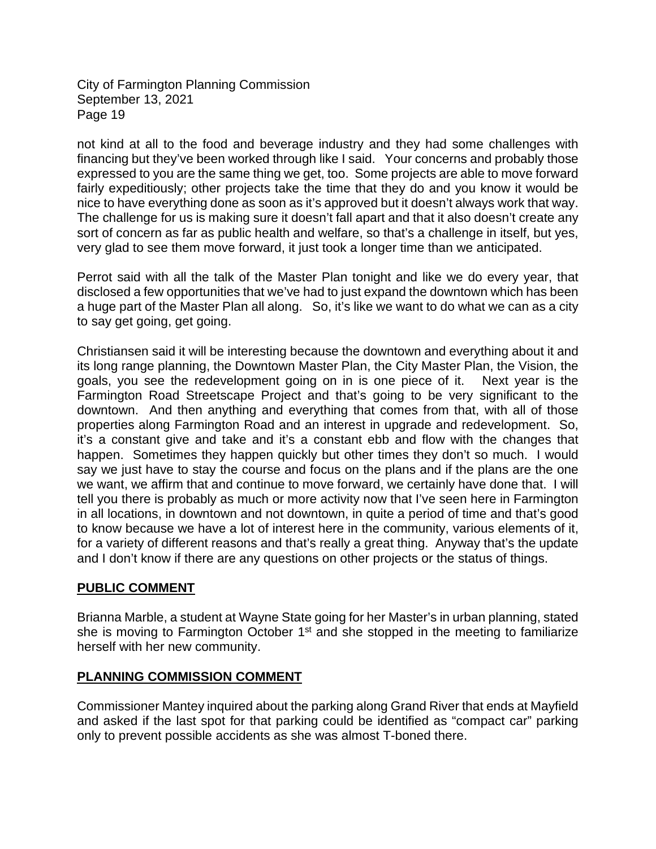not kind at all to the food and beverage industry and they had some challenges with financing but they've been worked through like I said. Your concerns and probably those expressed to you are the same thing we get, too. Some projects are able to move forward fairly expeditiously; other projects take the time that they do and you know it would be nice to have everything done as soon as it's approved but it doesn't always work that way. The challenge for us is making sure it doesn't fall apart and that it also doesn't create any sort of concern as far as public health and welfare, so that's a challenge in itself, but yes, very glad to see them move forward, it just took a longer time than we anticipated.

Perrot said with all the talk of the Master Plan tonight and like we do every year, that disclosed a few opportunities that we've had to just expand the downtown which has been a huge part of the Master Plan all along. So, it's like we want to do what we can as a city to say get going, get going.

Christiansen said it will be interesting because the downtown and everything about it and its long range planning, the Downtown Master Plan, the City Master Plan, the Vision, the goals, you see the redevelopment going on in is one piece of it. Next year is the Farmington Road Streetscape Project and that's going to be very significant to the downtown. And then anything and everything that comes from that, with all of those properties along Farmington Road and an interest in upgrade and redevelopment. So, it's a constant give and take and it's a constant ebb and flow with the changes that happen. Sometimes they happen quickly but other times they don't so much. I would say we just have to stay the course and focus on the plans and if the plans are the one we want, we affirm that and continue to move forward, we certainly have done that. I will tell you there is probably as much or more activity now that I've seen here in Farmington in all locations, in downtown and not downtown, in quite a period of time and that's good to know because we have a lot of interest here in the community, various elements of it, for a variety of different reasons and that's really a great thing. Anyway that's the update and I don't know if there are any questions on other projects or the status of things.

# **PUBLIC COMMENT**

Brianna Marble, a student at Wayne State going for her Master's in urban planning, stated she is moving to Farmington October  $1<sup>st</sup>$  and she stopped in the meeting to familiarize herself with her new community.

# **PLANNING COMMISSION COMMENT**

Commissioner Mantey inquired about the parking along Grand River that ends at Mayfield and asked if the last spot for that parking could be identified as "compact car" parking only to prevent possible accidents as she was almost T-boned there.